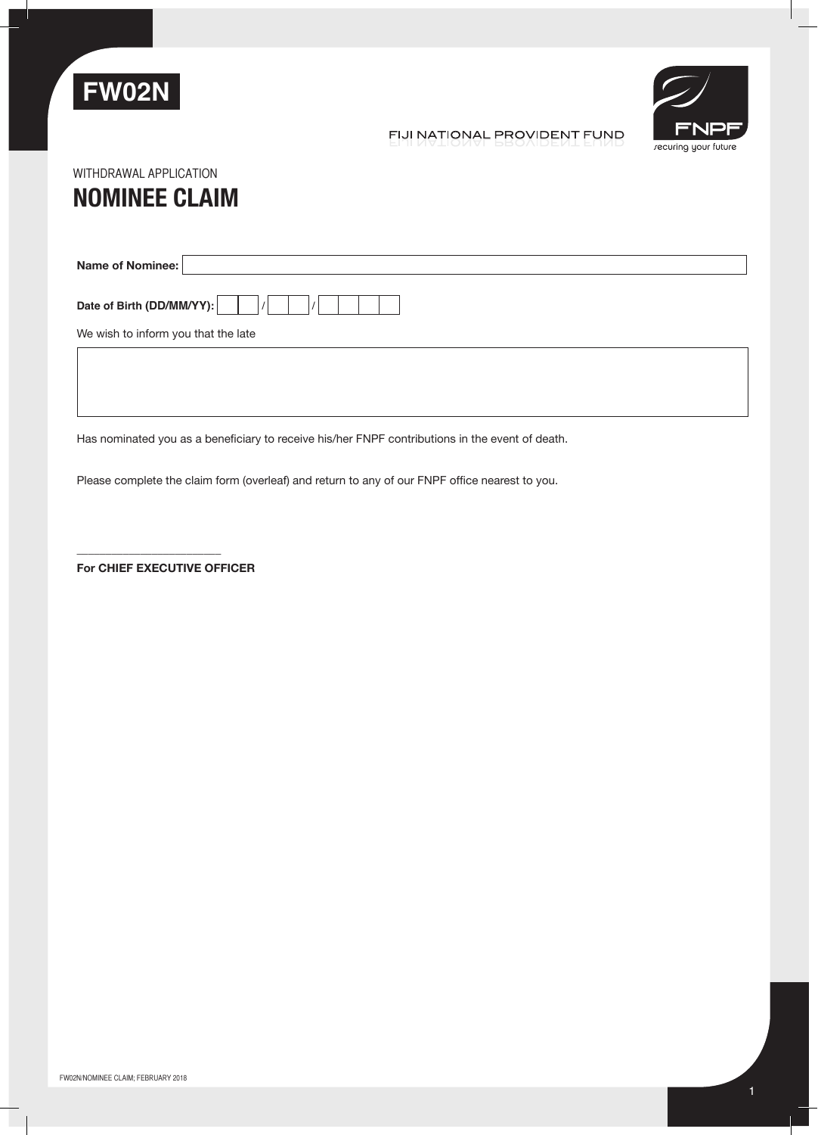

recuring your future

## FIJI NATIONAL PROVIDENT FUND

# **NOMINEE CLAIM** WITHDRAWAL APPLICATION

**Name of Nominee:** Date of Birth (DD/MM/YY): We wish to inform you that the late

Has nominated you as a beneficiary to receive his/her FNPF contributions in the event of death.

Please complete the claim form (overleaf) and return to any of our FNPF office nearest to you.

**For Chief Executive Officer**

\_\_\_\_\_\_\_\_\_\_\_\_\_\_\_\_\_\_\_\_\_\_\_\_\_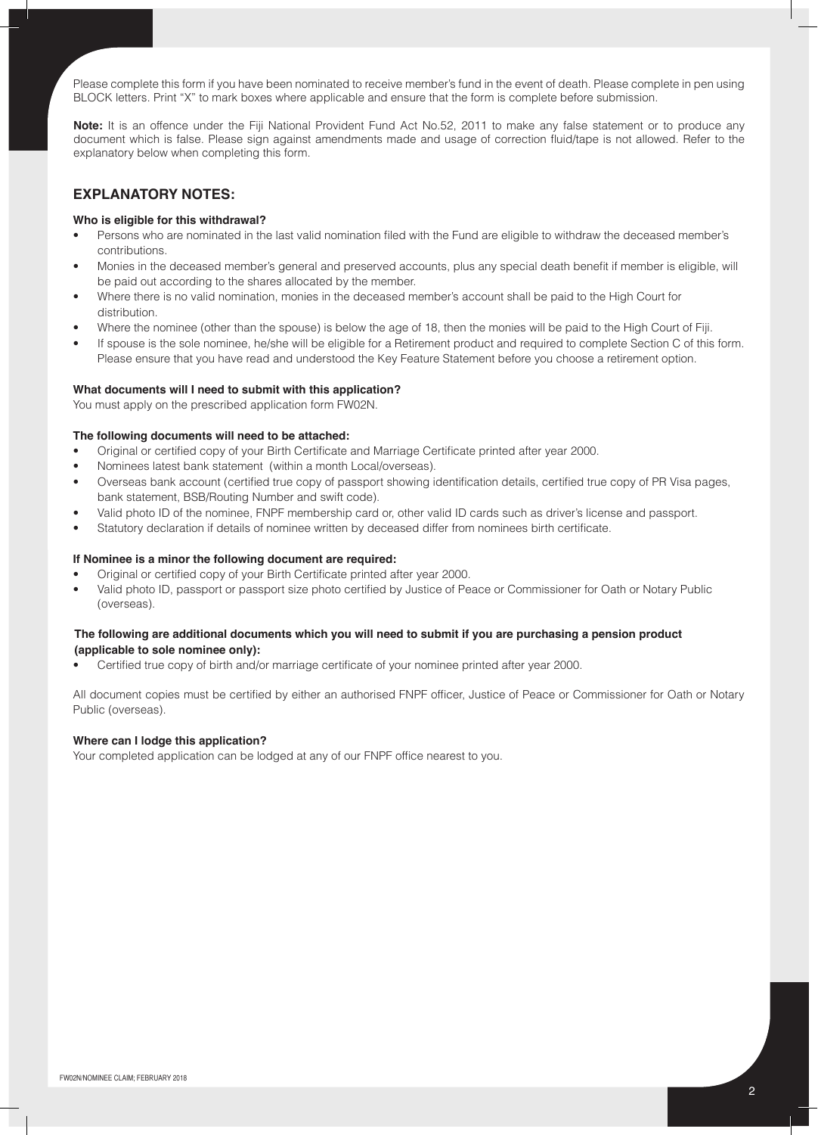Please complete this form if you have been nominated to receive member's fund in the event of death. Please complete in pen using BLOCK letters. Print "X" to mark boxes where applicable and ensure that the form is complete before submission.

**Note:** It is an offence under the Fiji National Provident Fund Act No.52, 2011 to make any false statement or to produce any document which is false. Please sign against amendments made and usage of correction fluid/tape is not allowed. Refer to the explanatory below when completing this form.

### **Explanatory Notes:**

#### **Who is eligible for this withdrawal?**

- Persons who are nominated in the last valid nomination filed with the Fund are eligible to withdraw the deceased member's contributions.
- Monies in the deceased member's general and preserved accounts, plus any special death benefit if member is eligible, will be paid out according to the shares allocated by the member.
- Where there is no valid nomination, monies in the deceased member's account shall be paid to the High Court for distribution.
- Where the nominee (other than the spouse) is below the age of 18, then the monies will be paid to the High Court of Fiji.
- If spouse is the sole nominee, he/she will be eligible for a Retirement product and required to complete Section C of this form. Please ensure that you have read and understood the Key Feature Statement before you choose a retirement option.

#### **What documents will I need to submit with this application?**

You must apply on the prescribed application form FW02N.

#### **The following documents will need to be attached:**

- Original or certified copy of your Birth Certificate and Marriage Certificate printed after year 2000.
- Nominees latest bank statement (within a month Local/overseas).
- Overseas bank account (certified true copy of passport showing identification details, certified true copy of PR Visa pages, bank statement, BSB/Routing Number and swift code).
- Valid photo ID of the nominee, FNPF membership card or, other valid ID cards such as driver's license and passport.
- Statutory declaration if details of nominee written by deceased differ from nominees birth certificate.

#### **If Nominee is a minor the following document are required:**

- Original or certified copy of your Birth Certificate printed after year 2000.
- Valid photo ID, passport or passport size photo certified by Justice of Peace or Commissioner for Oath or Notary Public (overseas).

#### **The following are additional documents which you will need to submit if you are purchasing a pension product (applicable to sole nominee only):**

Certified true copy of birth and/or marriage certificate of your nominee printed after year 2000.

All document copies must be certified by either an authorised FNPF officer, Justice of Peace or Commissioner for Oath or Notary Public (overseas).

#### **Where can I lodge this application?**

Your completed application can be lodged at any of our FNPF office nearest to you.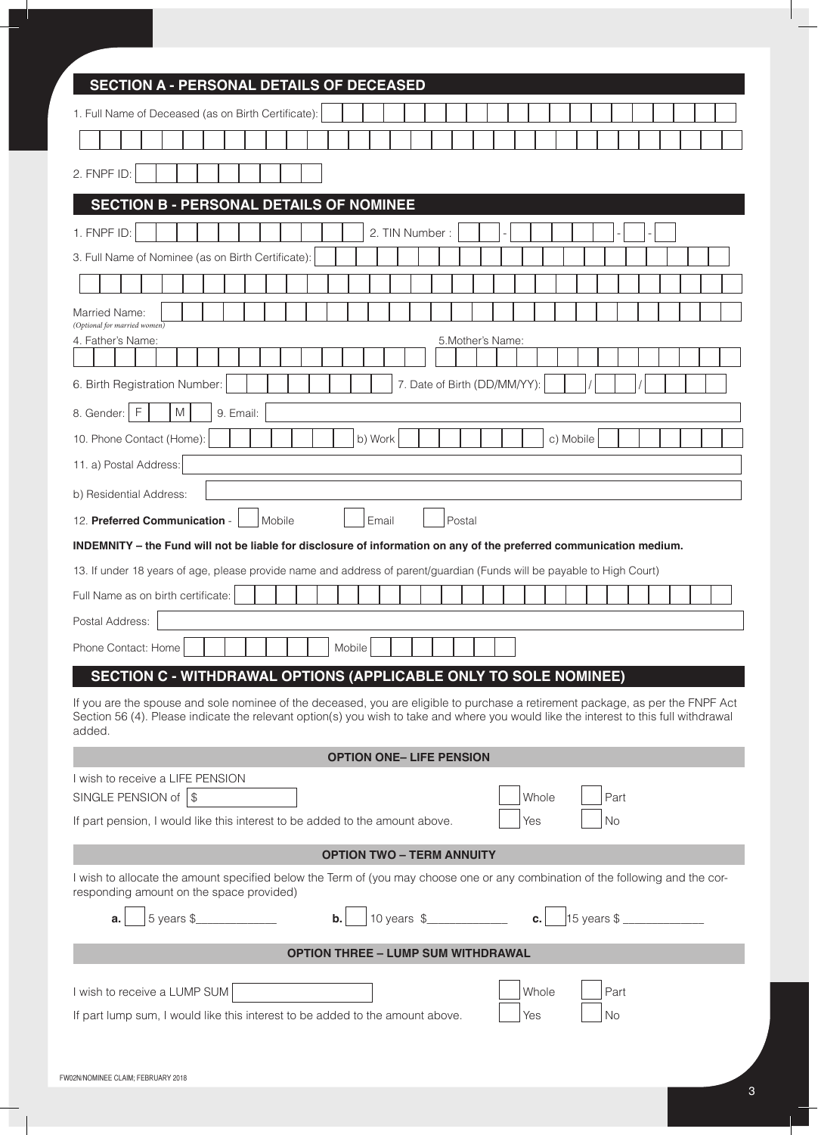| <b>SECTION A - PERSONAL DETAILS OF DECEASED</b>                                                                                                                                                                                                                                   |  |  |  |  |  |  |  |  |  |  |
|-----------------------------------------------------------------------------------------------------------------------------------------------------------------------------------------------------------------------------------------------------------------------------------|--|--|--|--|--|--|--|--|--|--|
| 1. Full Name of Deceased (as on Birth Certificate):                                                                                                                                                                                                                               |  |  |  |  |  |  |  |  |  |  |
|                                                                                                                                                                                                                                                                                   |  |  |  |  |  |  |  |  |  |  |
| 2. FNPF ID:                                                                                                                                                                                                                                                                       |  |  |  |  |  |  |  |  |  |  |
| <b>SECTION B - PERSONAL DETAILS OF NOMINEE</b>                                                                                                                                                                                                                                    |  |  |  |  |  |  |  |  |  |  |
| 1. FNPF ID:<br>2. TIN Number:                                                                                                                                                                                                                                                     |  |  |  |  |  |  |  |  |  |  |
| 3. Full Name of Nominee (as on Birth Certificate):                                                                                                                                                                                                                                |  |  |  |  |  |  |  |  |  |  |
|                                                                                                                                                                                                                                                                                   |  |  |  |  |  |  |  |  |  |  |
| Married Name:                                                                                                                                                                                                                                                                     |  |  |  |  |  |  |  |  |  |  |
| (Optional for married women)<br>4. Father's Name:<br>5. Mother's Name:                                                                                                                                                                                                            |  |  |  |  |  |  |  |  |  |  |
|                                                                                                                                                                                                                                                                                   |  |  |  |  |  |  |  |  |  |  |
| 7. Date of Birth (DD/MM/YY):<br>6. Birth Registration Number:                                                                                                                                                                                                                     |  |  |  |  |  |  |  |  |  |  |
| 8. Gender:   F<br>M<br>9. Email:                                                                                                                                                                                                                                                  |  |  |  |  |  |  |  |  |  |  |
| 10. Phone Contact (Home):<br>b) Work<br>c) Mobile                                                                                                                                                                                                                                 |  |  |  |  |  |  |  |  |  |  |
| 11. a) Postal Address:                                                                                                                                                                                                                                                            |  |  |  |  |  |  |  |  |  |  |
| b) Residential Address:                                                                                                                                                                                                                                                           |  |  |  |  |  |  |  |  |  |  |
| Email<br>12. Preferred Communication -<br>Postal<br>Mobile                                                                                                                                                                                                                        |  |  |  |  |  |  |  |  |  |  |
| INDEMNITY - the Fund will not be liable for disclosure of information on any of the preferred communication medium.                                                                                                                                                               |  |  |  |  |  |  |  |  |  |  |
| 13. If under 18 years of age, please provide name and address of parent/guardian (Funds will be payable to High Court)                                                                                                                                                            |  |  |  |  |  |  |  |  |  |  |
| Full Name as on birth certificate:                                                                                                                                                                                                                                                |  |  |  |  |  |  |  |  |  |  |
| Postal Address:                                                                                                                                                                                                                                                                   |  |  |  |  |  |  |  |  |  |  |
| Mobile<br>Phone Contact: Home                                                                                                                                                                                                                                                     |  |  |  |  |  |  |  |  |  |  |
| SECTION C - WITHDRAWAL OPTIONS (APPLICABLE ONLY TO SOLE NOMINEE)                                                                                                                                                                                                                  |  |  |  |  |  |  |  |  |  |  |
| If you are the spouse and sole nominee of the deceased, you are eligible to purchase a retirement package, as per the FNPF Act<br>Section 56 (4). Please indicate the relevant option(s) you wish to take and where you would like the interest to this full withdrawal<br>added. |  |  |  |  |  |  |  |  |  |  |
| <b>OPTION ONE- LIFE PENSION</b>                                                                                                                                                                                                                                                   |  |  |  |  |  |  |  |  |  |  |
| I wish to receive a LIFE PENSION<br>SINGLE PENSION of $\vert \$<br>Whole<br>Part                                                                                                                                                                                                  |  |  |  |  |  |  |  |  |  |  |
| If part pension, I would like this interest to be added to the amount above.<br>Yes<br><b>No</b>                                                                                                                                                                                  |  |  |  |  |  |  |  |  |  |  |
| <b>OPTION TWO - TERM ANNUITY</b>                                                                                                                                                                                                                                                  |  |  |  |  |  |  |  |  |  |  |
| I wish to allocate the amount specified below the Term of (you may choose one or any combination of the following and the cor-<br>responding amount on the space provided)                                                                                                        |  |  |  |  |  |  |  |  |  |  |
|                                                                                                                                                                                                                                                                                   |  |  |  |  |  |  |  |  |  |  |
| <b>OPTION THREE - LUMP SUM WITHDRAWAL</b>                                                                                                                                                                                                                                         |  |  |  |  |  |  |  |  |  |  |
| Whole<br>I wish to receive a LUMP SUM<br>Part<br>If part lump sum, I would like this interest to be added to the amount above.<br>No<br>Yes                                                                                                                                       |  |  |  |  |  |  |  |  |  |  |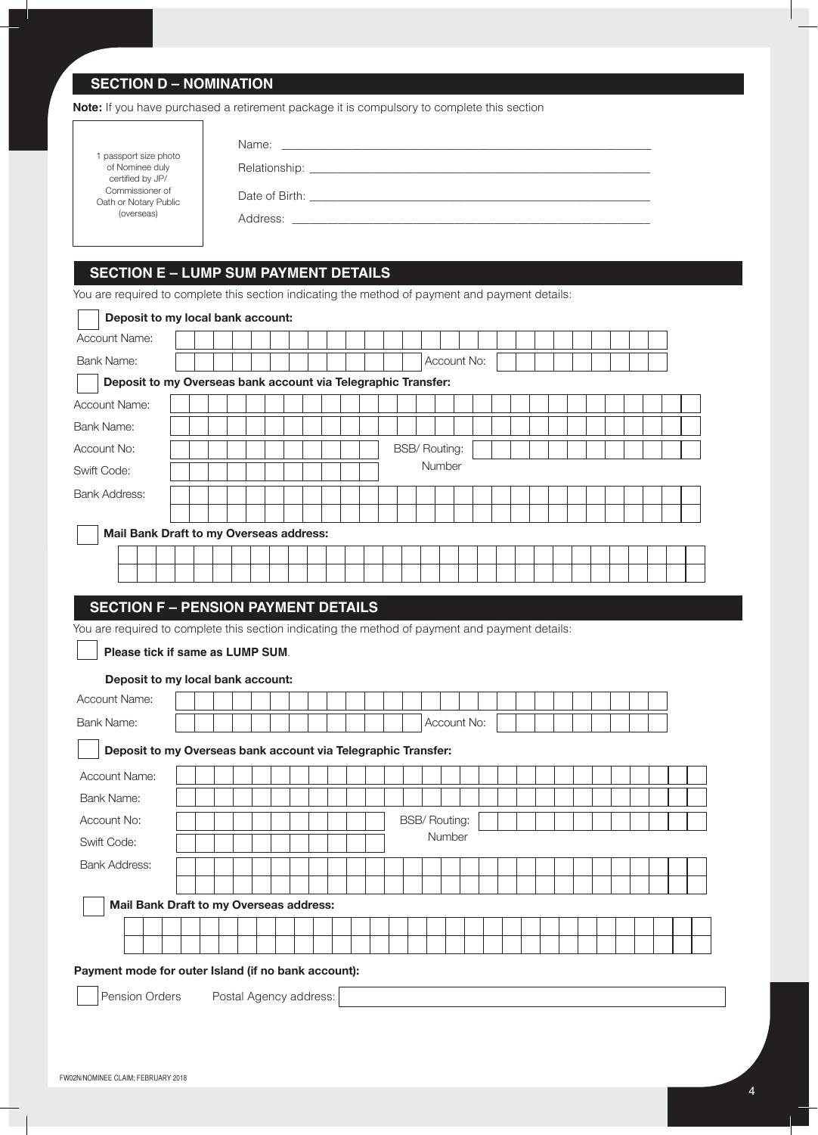## **SECTION D – NOMINATION**

**Note:** If you have purchased a retirement package it is compulsory to complete this section

|                                                            | Name:<br><u> 1980 - John Stein, Amerikaansk politiker (</u> |
|------------------------------------------------------------|-------------------------------------------------------------|
| passport size photo<br>of Nominee duly<br>certified by JP/ |                                                             |
| Commissioner of<br>Oath or Notary Public                   |                                                             |
| (overseas)                                                 | Address:                                                    |
|                                                            |                                                             |

## **SECTION E – LUMP SUM PAYMENT DETAILS**

You are required to complete this section indicating the method of payment and payment details:

|                                                               |  |  |  | Deposit to my local bank account: |  |  |  |  |  |                      |        |               |  |  |  |  |  |  |  |
|---------------------------------------------------------------|--|--|--|-----------------------------------|--|--|--|--|--|----------------------|--------|---------------|--|--|--|--|--|--|--|
| Account Name:                                                 |  |  |  |                                   |  |  |  |  |  |                      |        |               |  |  |  |  |  |  |  |
| <b>Bank Name:</b>                                             |  |  |  |                                   |  |  |  |  |  |                      |        | Account No:   |  |  |  |  |  |  |  |
| Deposit to my Overseas bank account via Telegraphic Transfer: |  |  |  |                                   |  |  |  |  |  |                      |        |               |  |  |  |  |  |  |  |
| <b>Account Name:</b>                                          |  |  |  |                                   |  |  |  |  |  |                      |        |               |  |  |  |  |  |  |  |
| Bank Name:                                                    |  |  |  |                                   |  |  |  |  |  |                      |        |               |  |  |  |  |  |  |  |
| Account No:                                                   |  |  |  |                                   |  |  |  |  |  | <b>BSB/ Routing:</b> |        |               |  |  |  |  |  |  |  |
| Swift Code:                                                   |  |  |  |                                   |  |  |  |  |  |                      | Number |               |  |  |  |  |  |  |  |
| <b>Bank Address:</b>                                          |  |  |  |                                   |  |  |  |  |  |                      |        |               |  |  |  |  |  |  |  |
|                                                               |  |  |  |                                   |  |  |  |  |  |                      |        |               |  |  |  |  |  |  |  |
| Mail Bank Draft to my Overseas address:                       |  |  |  |                                   |  |  |  |  |  |                      |        |               |  |  |  |  |  |  |  |
|                                                               |  |  |  |                                   |  |  |  |  |  |                      |        |               |  |  |  |  |  |  |  |
|                                                               |  |  |  |                                   |  |  |  |  |  |                      |        |               |  |  |  |  |  |  |  |
| Please tick if same as LUMP SUM.                              |  |  |  |                                   |  |  |  |  |  |                      |        |               |  |  |  |  |  |  |  |
|                                                               |  |  |  |                                   |  |  |  |  |  |                      |        |               |  |  |  |  |  |  |  |
| Deposit to my local bank account:                             |  |  |  |                                   |  |  |  |  |  |                      |        |               |  |  |  |  |  |  |  |
|                                                               |  |  |  |                                   |  |  |  |  |  |                      |        |               |  |  |  |  |  |  |  |
|                                                               |  |  |  |                                   |  |  |  |  |  |                      |        | Account No:   |  |  |  |  |  |  |  |
| Deposit to my Overseas bank account via Telegraphic Transfer: |  |  |  |                                   |  |  |  |  |  |                      |        |               |  |  |  |  |  |  |  |
| Account Name:                                                 |  |  |  |                                   |  |  |  |  |  |                      |        |               |  |  |  |  |  |  |  |
| Bank Name:                                                    |  |  |  |                                   |  |  |  |  |  |                      |        |               |  |  |  |  |  |  |  |
| Account No:                                                   |  |  |  |                                   |  |  |  |  |  | <b>BSB/ Routing:</b> |        |               |  |  |  |  |  |  |  |
| Swift Code:                                                   |  |  |  |                                   |  |  |  |  |  |                      |        | <b>Number</b> |  |  |  |  |  |  |  |
| <b>Bank Address:</b>                                          |  |  |  |                                   |  |  |  |  |  |                      |        |               |  |  |  |  |  |  |  |
|                                                               |  |  |  |                                   |  |  |  |  |  |                      |        |               |  |  |  |  |  |  |  |
| Mail Bank Draft to my Overseas address:                       |  |  |  |                                   |  |  |  |  |  |                      |        |               |  |  |  |  |  |  |  |
|                                                               |  |  |  |                                   |  |  |  |  |  |                      |        |               |  |  |  |  |  |  |  |
| Account Name:<br>Bank Name:                                   |  |  |  |                                   |  |  |  |  |  |                      |        |               |  |  |  |  |  |  |  |
| Payment mode for outer Island (if no bank account):           |  |  |  |                                   |  |  |  |  |  |                      |        |               |  |  |  |  |  |  |  |